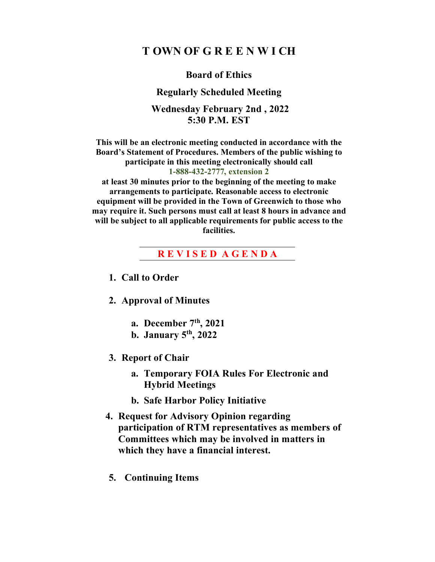# **T OWN OF G R E E N W I CH**

### **Board of Ethics**

#### **Regularly Scheduled Meeting**

### **Wednesday February 2nd , 2022 5:30 P.M. EST**

**This will be an electronic meeting conducted in accordance with the Board's Statement of Procedures. Members of the public wishing to participate in this meeting electronically should call 1-888-432-2777, extension 2** 

**at least 30 minutes prior to the beginning of the meeting to make arrangements to participate. Reasonable access to electronic equipment will be provided in the Town of Greenwich to those who may require it. Such persons must call at least 8 hours in advance and will be subject to all applicable requirements for public access to the facilities.**

### **R E V I S E D A G E N D A**

- **1. Call to Order**
- **2. Approval of Minutes**
	- **a. December 7th, 2021**
	- **b. January 5th, 2022**
- **3. Report of Chair**
	- **a. Temporary FOIA Rules For Electronic and Hybrid Meetings**
	- **b. Safe Harbor Policy Initiative**
- **4. Request for Advisory Opinion regarding participation of RTM representatives as members of Committees which may be involved in matters in which they have a financial interest.**
- **5. Continuing Items**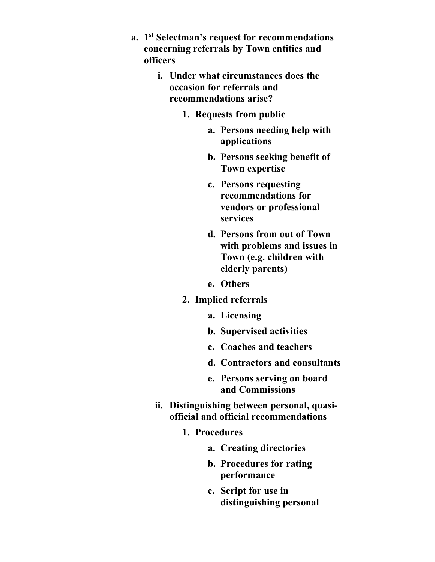- **a. 1st Selectman's request for recommendations concerning referrals by Town entities and officers**
	- **i. Under what circumstances does the occasion for referrals and recommendations arise?**
		- **1. Requests from public**
			- **a. Persons needing help with applications**
			- **b. Persons seeking benefit of Town expertise**
			- **c. Persons requesting recommendations for vendors or professional services**
			- **d. Persons from out of Town with problems and issues in Town (e.g. children with elderly parents)**
			- **e. Others**
		- **2. Implied referrals**
			- **a. Licensing**
			- **b. Supervised activities**
			- **c. Coaches and teachers**
			- **d. Contractors and consultants**
			- **e. Persons serving on board and Commissions**
	- **ii. Distinguishing between personal, quasiofficial and official recommendations**
		- **1. Procedures**
			- **a. Creating directories**
			- **b. Procedures for rating performance**
			- **c. Script for use in distinguishing personal**